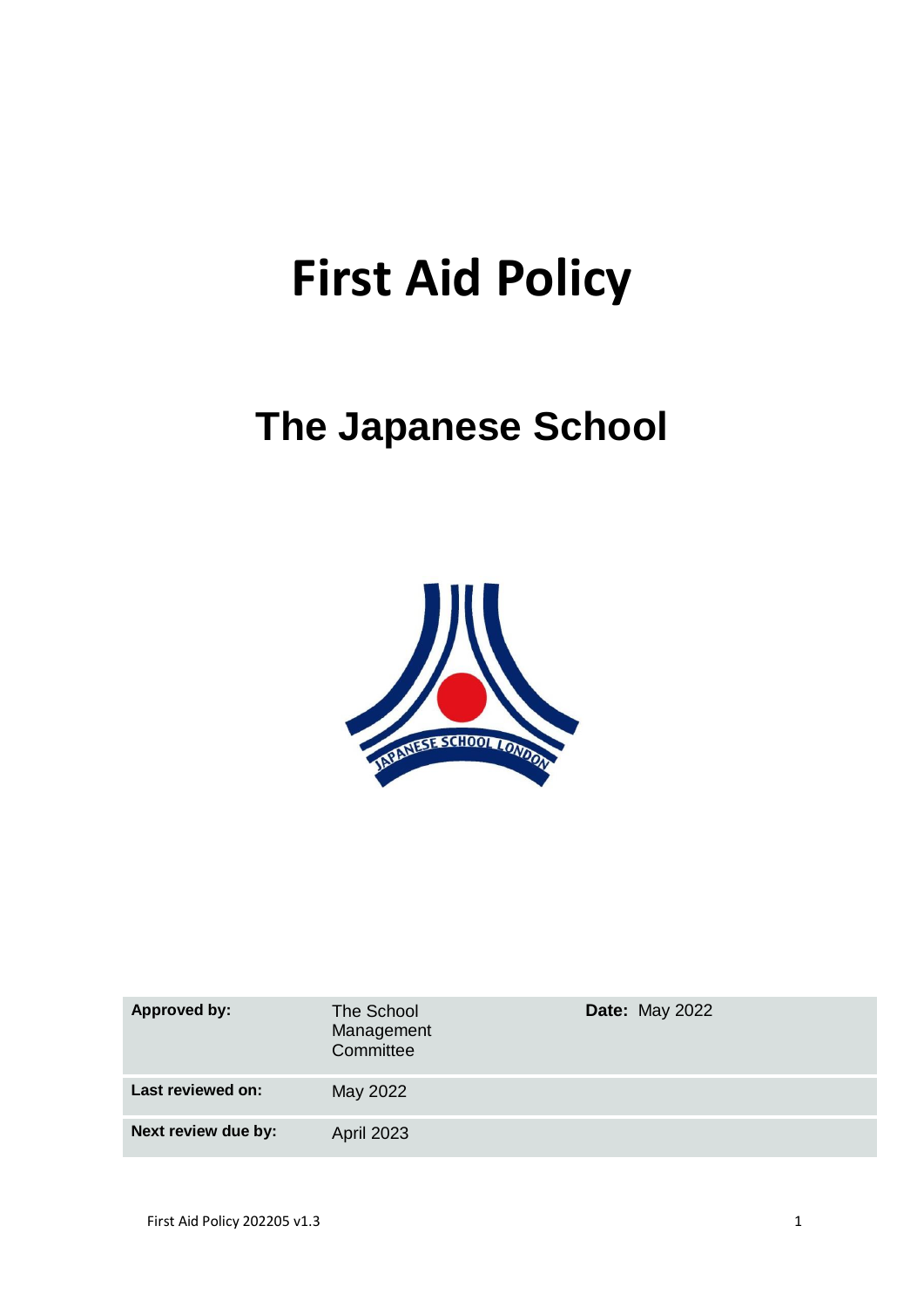# **First Aid Policy**

## **The Japanese School**



| <b>Approved by:</b> | The School<br>Management<br>Committee | <b>Date: May 2022</b> |
|---------------------|---------------------------------------|-----------------------|
| Last reviewed on:   | May 2022                              |                       |
| Next review due by: | <b>April 2023</b>                     |                       |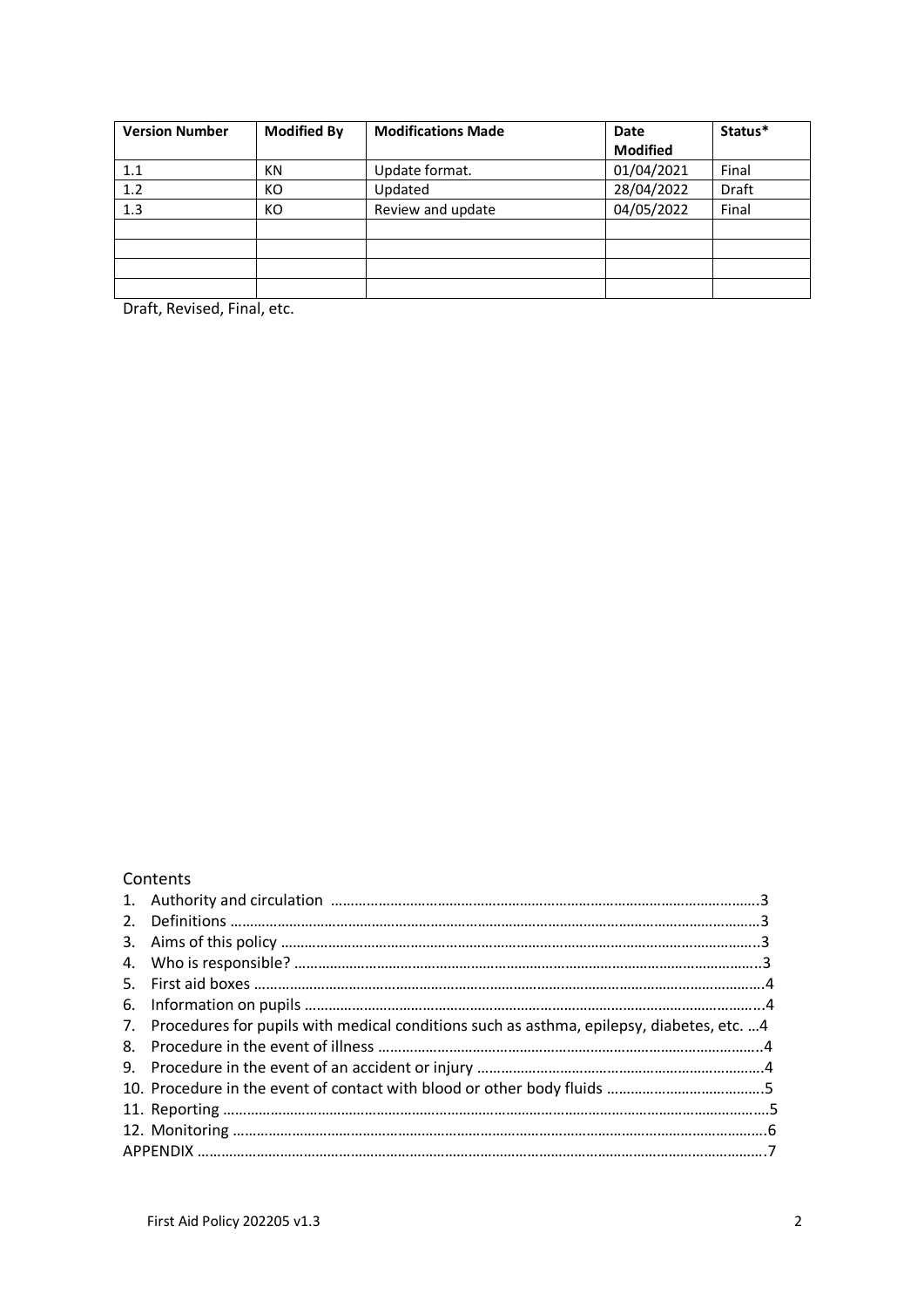| <b>Version Number</b> | <b>Modified By</b> | <b>Modifications Made</b> | Date            | Status* |
|-----------------------|--------------------|---------------------------|-----------------|---------|
|                       |                    |                           | <b>Modified</b> |         |
| 1.1                   | ΚN                 | Update format.            | 01/04/2021      | Final   |
| 1.2                   | KO                 | Updated                   | 28/04/2022      | Draft   |
| 1.3                   | KO                 | Review and update         | 04/05/2022      | Final   |
|                       |                    |                           |                 |         |
|                       |                    |                           |                 |         |
|                       |                    |                           |                 |         |
|                       |                    |                           |                 |         |

Draft, Revised, Final, etc.

### Contents

| 7. Procedures for pupils with medical conditions such as asthma, epilepsy, diabetes, etc.  4 |  |
|----------------------------------------------------------------------------------------------|--|
|                                                                                              |  |
|                                                                                              |  |
|                                                                                              |  |
|                                                                                              |  |
|                                                                                              |  |
|                                                                                              |  |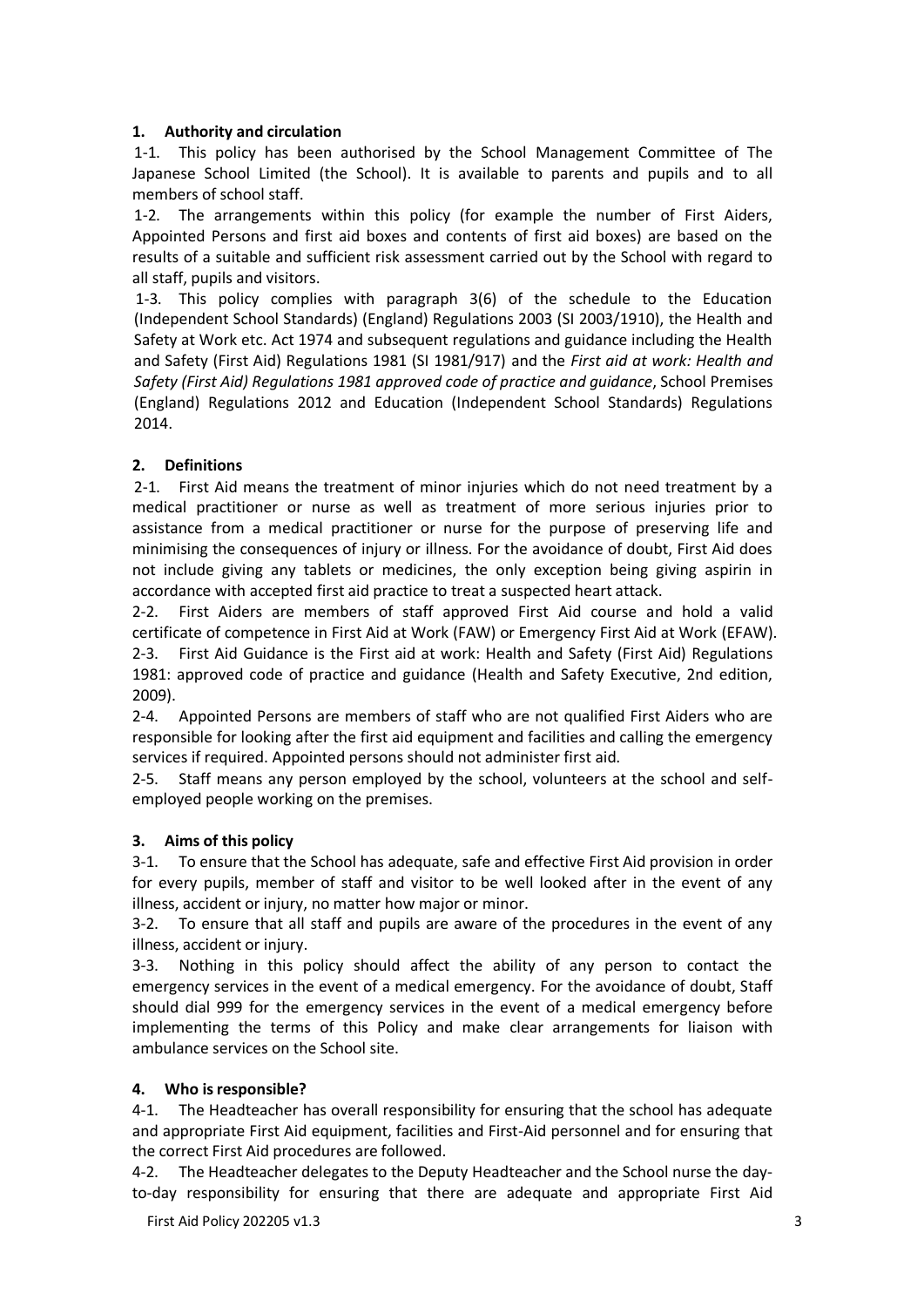#### **1. Authority and circulation**

1-1. This policy has been authorised by the School Management Committee of The Japanese School Limited (the School). It is available to parents and pupils and to all members of school staff.

1-2. The arrangements within this policy (for example the number of First Aiders, Appointed Persons and first aid boxes and contents of first aid boxes) are based on the results of a suitable and sufficient risk assessment carried out by the School with regard to all staff, pupils and visitors.

1-3. This policy complies with paragraph 3(6) of the schedule to the Education (Independent School Standards) (England) Regulations 2003 (SI 2003/1910), the Health and Safety at Work etc. Act 1974 and subsequent regulations and guidance including the Health and Safety (First Aid) Regulations 1981 (SI 1981/917) and the *First aid at work: Health and Safety (First Aid) Regulations 1981 approved code of practice and guidance*, School Premises (England) Regulations 2012 and Education (Independent School Standards) Regulations 2014.

#### **2. Definitions**

2-1. First Aid means the treatment of minor injuries which do not need treatment by a medical practitioner or nurse as well as treatment of more serious injuries prior to assistance from a medical practitioner or nurse for the purpose of preserving life and minimising the consequences of injury or illness. For the avoidance of doubt, First Aid does not include giving any tablets or medicines, the only exception being giving aspirin in accordance with accepted first aid practice to treat a suspected heart attack.

2-2. First Aiders are members of staff approved First Aid course and hold a valid certificate of competence in First Aid at Work (FAW) or Emergency First Aid at Work (EFAW). 2-3. First Aid Guidance is the First aid at work: Health and Safety (First Aid) Regulations 1981: approved code of practice and guidance (Health and Safety Executive, 2nd edition, 2009).

2-4. Appointed Persons are members of staff who are not qualified First Aiders who are responsible for looking after the first aid equipment and facilities and calling the emergency services if required. Appointed persons should not administer first aid.

2-5. Staff means any person employed by the school, volunteers at the school and selfemployed people working on the premises.

#### **3. Aims of this policy**

3-1. To ensure that the School has adequate, safe and effective First Aid provision in order for every pupils, member of staff and visitor to be well looked after in the event of any illness, accident or injury, no matter how major or minor.

3-2. To ensure that all staff and pupils are aware of the procedures in the event of any illness, accident or injury.

3-3. Nothing in this policy should affect the ability of any person to contact the emergency services in the event of a medical emergency. For the avoidance of doubt, Staff should dial 999 for the emergency services in the event of a medical emergency before implementing the terms of this Policy and make clear arrangements for liaison with ambulance services on the School site.

#### **4. Who isresponsible?**

4-1. The Headteacher has overall responsibility for ensuring that the school has adequate and appropriate First Aid equipment, facilities and First-Aid personnel and for ensuring that the correct First Aid procedures are followed.

4-2. The Headteacher delegates to the Deputy Headteacher and the School nurse the dayto-day responsibility for ensuring that there are adequate and appropriate First Aid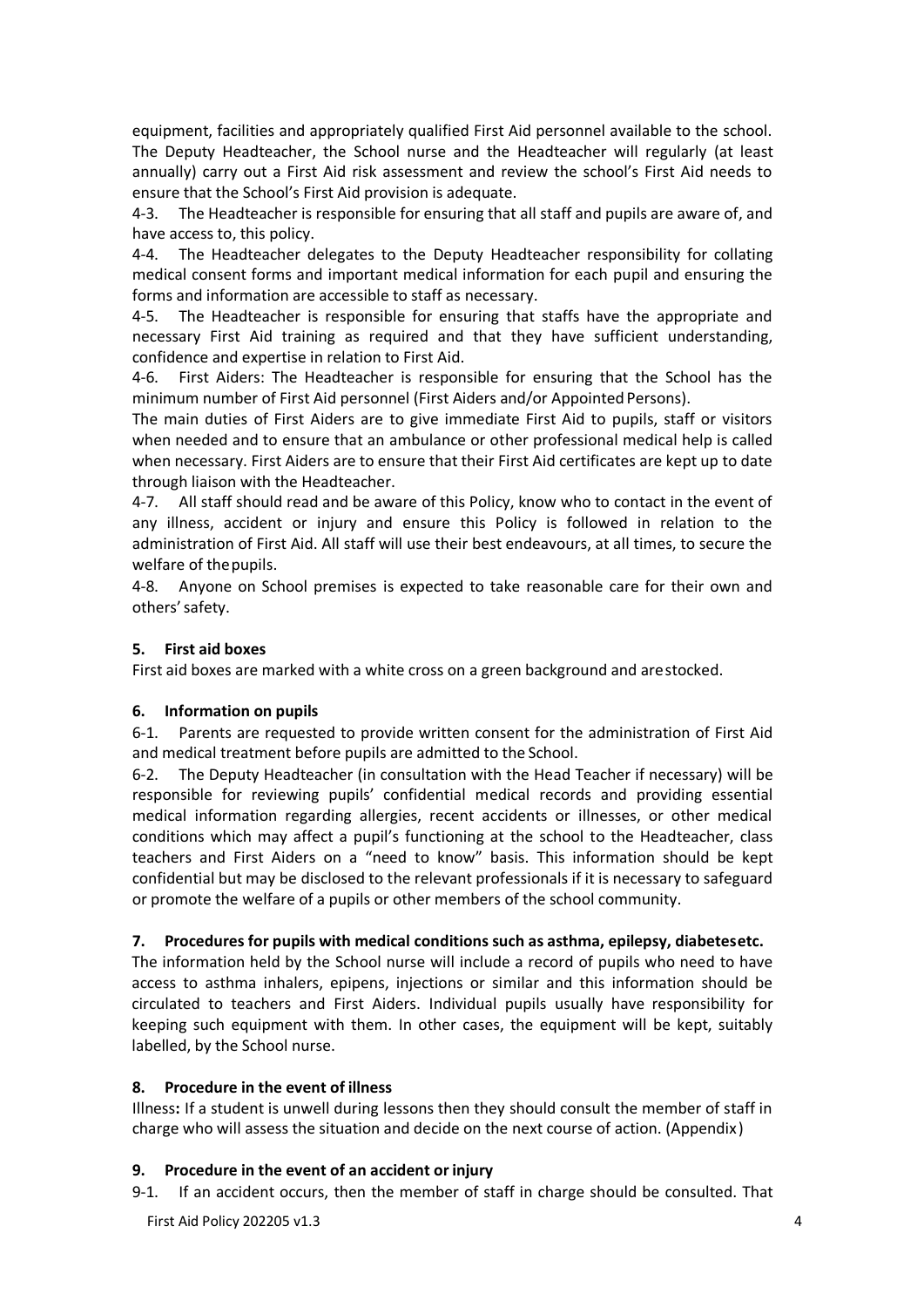equipment, facilities and appropriately qualified First Aid personnel available to the school. The Deputy Headteacher, the School nurse and the Headteacher will regularly (at least annually) carry out a First Aid risk assessment and review the school's First Aid needs to ensure that the School's First Aid provision is adequate.

4-3. The Headteacher is responsible for ensuring that all staff and pupils are aware of, and have access to, this policy.

4-4. The Headteacher delegates to the Deputy Headteacher responsibility for collating medical consent forms and important medical information for each pupil and ensuring the forms and information are accessible to staff as necessary.

4-5. The Headteacher is responsible for ensuring that staffs have the appropriate and necessary First Aid training as required and that they have sufficient understanding, confidence and expertise in relation to First Aid.

4-6. First Aiders: The Headteacher is responsible for ensuring that the School has the minimum number of First Aid personnel (First Aiders and/or Appointed Persons).

The main duties of First Aiders are to give immediate First Aid to pupils, staff or visitors when needed and to ensure that an ambulance or other professional medical help is called when necessary. First Aiders are to ensure that their First Aid certificates are kept up to date through liaison with the Headteacher.

4-7. All staff should read and be aware of this Policy, know who to contact in the event of any illness, accident or injury and ensure this Policy is followed in relation to the administration of First Aid. All staff will use their best endeavours, at all times, to secure the welfare of the pupils.

4-8. Anyone on School premises is expected to take reasonable care for their own and others'safety.

#### **5. First aid boxes**

First aid boxes are marked with a white cross on a green background and arestocked.

#### **6. Information on pupils**

6-1. Parents are requested to provide written consent for the administration of First Aid and medical treatment before pupils are admitted to the School.

6-2. The Deputy Headteacher (in consultation with the Head Teacher if necessary) will be responsible for reviewing pupils' confidential medical records and providing essential medical information regarding allergies, recent accidents or illnesses, or other medical conditions which may affect a pupil's functioning at the school to the Headteacher, class teachers and First Aiders on a "need to know" basis. This information should be kept confidential but may be disclosed to the relevant professionals if it is necessary to safeguard or promote the welfare of a pupils or other members of the school community.

#### **7. Procedures for pupils with medical conditions such as asthma, epilepsy, diabetesetc.**

The information held by the School nurse will include a record of pupils who need to have access to asthma inhalers, epipens, injections or similar and this information should be circulated to teachers and First Aiders. Individual pupils usually have responsibility for keeping such equipment with them. In other cases, the equipment will be kept, suitably labelled, by the School nurse.

#### **8. Procedure in the event of illness**

Illness**:** If a student is unwell during lessons then they should consult the member of staff in charge who will assess the situation and decide on the next course of action. (Appendix)

#### **9. Procedure in the event of an accident orinjury**

9-1. If an accident occurs, then the member of staff in charge should be consulted. That

First Aid Policy 202205 v1.3 4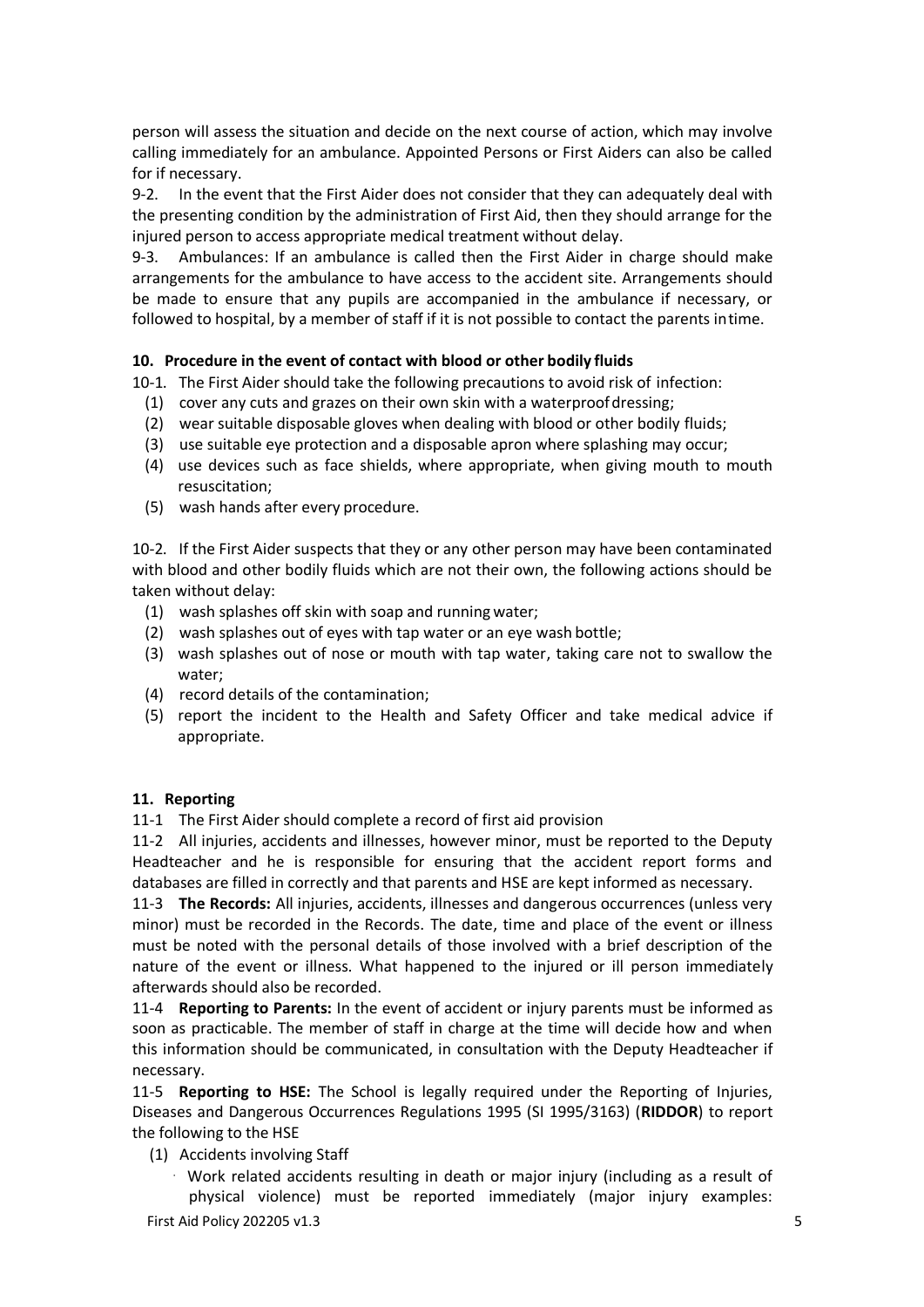person will assess the situation and decide on the next course of action, which may involve calling immediately for an ambulance. Appointed Persons or First Aiders can also be called for if necessary.

9-2. In the event that the First Aider does not consider that they can adequately deal with the presenting condition by the administration of First Aid, then they should arrange for the injured person to access appropriate medical treatment without delay.

9-3. Ambulances: If an ambulance is called then the First Aider in charge should make arrangements for the ambulance to have access to the accident site. Arrangements should be made to ensure that any pupils are accompanied in the ambulance if necessary, or followed to hospital, by a member of staff if it is not possible to contact the parents intime.

#### **10. Procedure in the event of contact with blood or other bodily fluids**

10-1. The First Aider should take the following precautions to avoid risk of infection:

- (1) cover any cuts and grazes on their own skin with a waterproofdressing;
- (2) wear suitable disposable gloves when dealing with blood or other bodily fluids;
- (3) use suitable eye protection and a disposable apron where splashing may occur;
- (4) use devices such as face shields, where appropriate, when giving mouth to mouth resuscitation;
- (5) wash hands after every procedure.

10-2. If the First Aider suspects that they or any other person may have been contaminated with blood and other bodily fluids which are not their own, the following actions should be taken without delay:

- (1) wash splashes off skin with soap and running water;
- (2) wash splashes out of eyes with tap water or an eye wash bottle;
- (3) wash splashes out of nose or mouth with tap water, taking care not to swallow the water;
- (4) record details of the contamination;
- (5) report the incident to the Health and Safety Officer and take medical advice if appropriate.

#### **11. Reporting**

11-1 The First Aider should complete a record of first aid provision

11-2 All injuries, accidents and illnesses, however minor, must be reported to the Deputy Headteacher and he is responsible for ensuring that the accident report forms and databases are filled in correctly and that parents and HSE are kept informed as necessary.

11-3 **The Records:** All injuries, accidents, illnesses and dangerous occurrences (unless very minor) must be recorded in the Records. The date, time and place of the event or illness must be noted with the personal details of those involved with a brief description of the nature of the event or illness. What happened to the injured or ill person immediately afterwards should also be recorded.

11-4 **Reporting to Parents:** In the event of accident or injury parents must be informed as soon as practicable. The member of staff in charge at the time will decide how and when this information should be communicated, in consultation with the Deputy Headteacher if necessary.

11-5 **Reporting to HSE:** The School is legally required under the Reporting of Injuries, Diseases and Dangerous Occurrences Regulations 1995 (SI 1995/3163) (**RIDDOR**) to report the following to the HSE

- (1) Accidents involving Staff
	- $\cdot$  Work related accidents resulting in death or major injury (including as a result of physical violence) must be reported immediately (major injury examples:

First Aid Policy 202205 v1.3 5